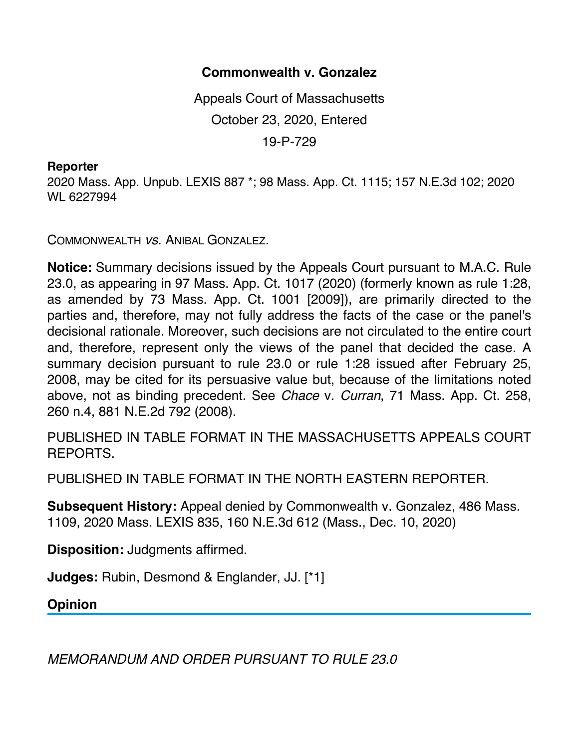## **Commonwealth v. Gonzalez**

Appeals Court of Massachusetts October 23, 2020, Entered 19-P-729

## **Reporter**

2020 Mass. App. Unpub. LEXIS 887 \*; 98 Mass. App. Ct. 1115; 157 N.E.3d 102; 2020 WL 6227994

COMMONWEALTH *vs*. ANIBAL GONZALEZ.

**Notice:** Summary decisions issued by the Appeals Court pursuant to M.A.C. Rule 23.0, as appearing in 97 Mass. App. Ct. 1017 (2020) (formerly known as rule 1:28, as amended by 73 Mass. App. Ct. 1001 [2009]), are primarily directed to the parties and, therefore, may not fully address the facts of the case or the panel's decisional rationale. Moreover, such decisions are not circulated to the entire court and, therefore, represent only the views of the panel that decided the case. A summary decision pursuant to rule 23.0 or rule 1:28 issued after February 25, 2008, may be cited for its persuasive value but, because of the limitations noted above, not as binding precedent. See *Chace* v. *Curran*, 71 Mass. App. Ct. 258, 260 n.4, 881 N.E.2d 792 (2008).

PUBLISHED IN TABLE FORMAT IN THE MASSACHUSETTS APPEALS COURT REPORTS.

PUBLISHED IN TABLE FORMAT IN THE NORTH EASTERN REPORTER.

**Subsequent History:** Appeal denied by Commonwealth v. Gonzalez, 486 Mass. 1109, 2020 Mass. LEXIS 835, 160 N.E.3d 612 (Mass., Dec. 10, 2020)

**Disposition:** Judgments affirmed.

**Judges:** Rubin, Desmond & Englander, JJ. [\*1]

**Opinion**

*MEMORANDUM AND ORDER PURSUANT TO RULE 23.0*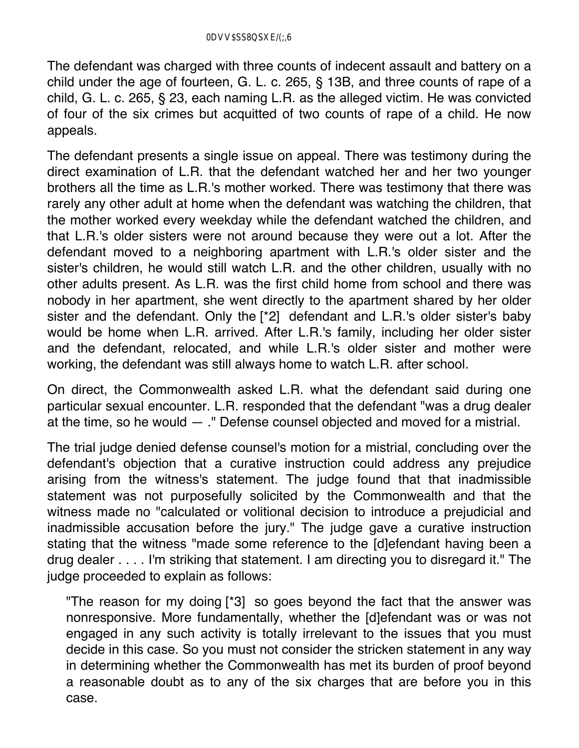The defendant was charged with three counts of indecent assault and battery on a child under the age of fourteen, G. L. c. 265, § 13B, and three counts of rape of a child, G. L. c. 265, § 23, each naming L.R. as the alleged victim. He was convicted of four of the six crimes but acquitted of two counts of rape of a child. He now appeals.

The defendant presents a single issue on appeal. There was testimony during the direct examination of L.R. that the defendant watched her and her two younger brothers all the time as L.R.'s mother worked. There was testimony that there was rarely any other adult at home when the defendant was watching the children, that the mother worked every weekday while the defendant watched the children, and that L.R.'s older sisters were not around because they were out a lot. After the defendant moved to a neighboring apartment with L.R.'s older sister and the sister's children, he would still watch L.R. and the other children, usually with no other adults present. As L.R. was the first child home from school and there was nobody in her apartment, she went directly to the apartment shared by her older sister and the defendant. Only the [\*2] defendant and L.R.'s older sister's baby would be home when L.R. arrived. After L.R.'s family, including her older sister and the defendant, relocated, and while L.R.'s older sister and mother were working, the defendant was still always home to watch L.R. after school.

On direct, the Commonwealth asked L.R. what the defendant said during one particular sexual encounter. L.R. responded that the defendant "was a drug dealer at the time, so he would — ." Defense counsel objected and moved for a mistrial.

The trial judge denied defense counsel's motion for a mistrial, concluding over the defendant's objection that a curative instruction could address any prejudice arising from the witness's statement. The judge found that that inadmissible statement was not purposefully solicited by the Commonwealth and that the witness made no "calculated or volitional decision to introduce a prejudicial and inadmissible accusation before the jury." The judge gave a curative instruction stating that the witness "made some reference to the [d]efendant having been a drug dealer . . . . I'm striking that statement. I am directing you to disregard it." The judge proceeded to explain as follows:

"The reason for my doing [\*3] so goes beyond the fact that the answer was nonresponsive. More fundamentally, whether the [d]efendant was or was not engaged in any such activity is totally irrelevant to the issues that you must decide in this case. So you must not consider the stricken statement in any way in determining whether the Commonwealth has met its burden of proof beyond a reasonable doubt as to any of the six charges that are before you in this case.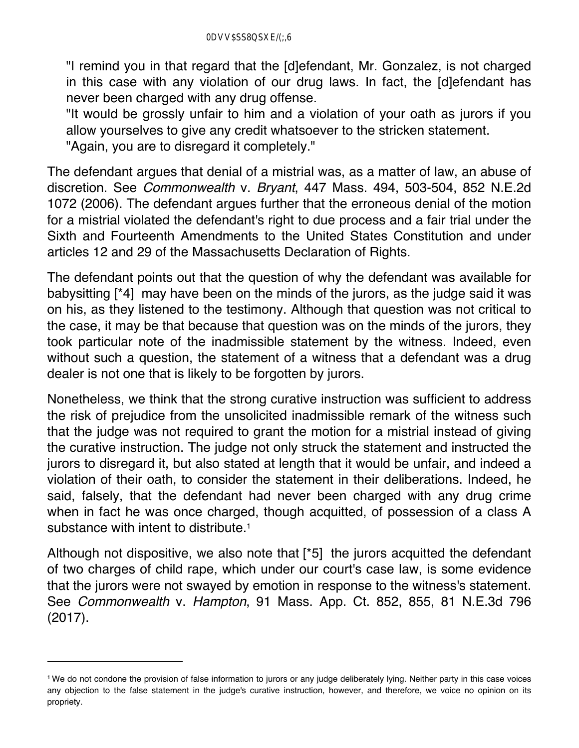"I remind you in that regard that the [d]efendant, Mr. Gonzalez, is not charged in this case with any violation of our drug laws. In fact, the [d]efendant has never been charged with any drug offense.

"It would be grossly unfair to him and a violation of your oath as jurors if you allow yourselves to give any credit whatsoever to the stricken statement.

"Again, you are to disregard it completely."

The defendant argues that denial of a mistrial was, as a matter of law, an abuse of discretion. See *Commonwealth* v. *Bryant*, 447 Mass. 494, 503-504, 852 N.E.2d 1072 (2006). The defendant argues further that the erroneous denial of the motion for a mistrial violated the defendant's right to due process and a fair trial under the Sixth and Fourteenth Amendments to the United States Constitution and under articles 12 and 29 of the Massachusetts Declaration of Rights.

The defendant points out that the question of why the defendant was available for babysitting [\*4] may have been on the minds of the jurors, as the judge said it was on his, as they listened to the testimony. Although that question was not critical to the case, it may be that because that question was on the minds of the jurors, they took particular note of the inadmissible statement by the witness. Indeed, even without such a question, the statement of a witness that a defendant was a drug dealer is not one that is likely to be forgotten by jurors.

Nonetheless, we think that the strong curative instruction was sufficient to address the risk of prejudice from the unsolicited inadmissible remark of the witness such that the judge was not required to grant the motion for a mistrial instead of giving the curative instruction. The judge not only struck the statement and instructed the jurors to disregard it, but also stated at length that it would be unfair, and indeed a violation of their oath, to consider the statement in their deliberations. Indeed, he said, falsely, that the defendant had never been charged with any drug crime when in fact he was once charged, though acquitted, of possession of a class A substance with intent to distribute.<sup>1</sup>

Although not dispositive, we also note that [\*5] the jurors acquitted the defendant of two charges of child rape, which under our court's case law, is some evidence that the jurors were not swayed by emotion in response to the witness's statement. See *Commonwealth* v. *Hampton*, 91 Mass. App. Ct. 852, 855, 81 N.E.3d 796 (2017).

<sup>1</sup> We do not condone the provision of false information to jurors or any judge deliberately lying. Neither party in this case voices any objection to the false statement in the judge's curative instruction, however, and therefore, we voice no opinion on its propriety.